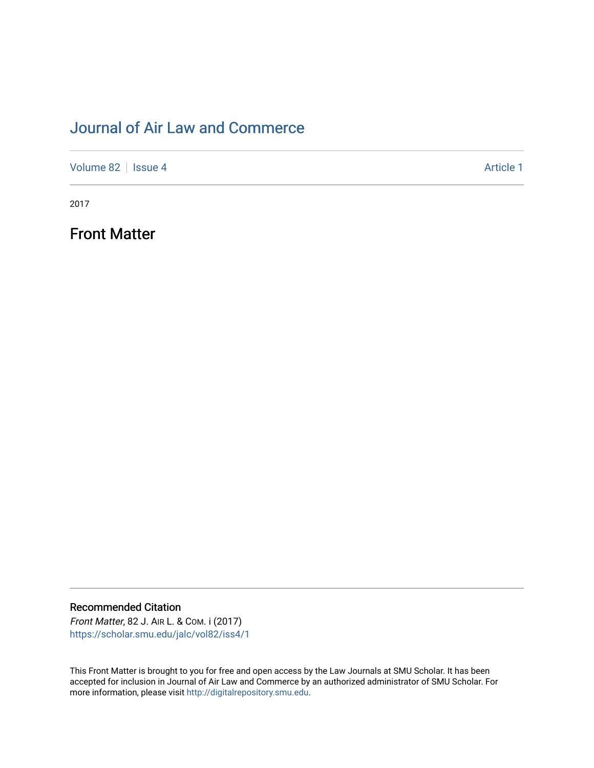## [Journal of Air Law and Commerce](https://scholar.smu.edu/jalc)

[Volume 82](https://scholar.smu.edu/jalc/vol82) | [Issue 4](https://scholar.smu.edu/jalc/vol82/iss4) Article 1

2017

Front Matter

Recommended Citation

Front Matter, 82 J. AIR L. & COM. i (2017) [https://scholar.smu.edu/jalc/vol82/iss4/1](https://scholar.smu.edu/jalc/vol82/iss4/1?utm_source=scholar.smu.edu%2Fjalc%2Fvol82%2Fiss4%2F1&utm_medium=PDF&utm_campaign=PDFCoverPages) 

This Front Matter is brought to you for free and open access by the Law Journals at SMU Scholar. It has been accepted for inclusion in Journal of Air Law and Commerce by an authorized administrator of SMU Scholar. For more information, please visit [http://digitalrepository.smu.edu](http://digitalrepository.smu.edu/).